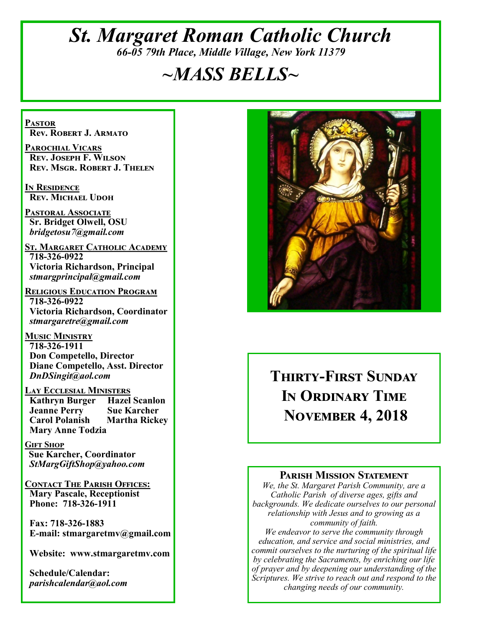## *St. Margaret Roman Catholic Church 66-05 79th Place, Middle Village, New York 11379*

# *~MASS BELLS~*

**Pastor Rev. Robert J. Armato**

**Parochial Vicars Rev. Joseph F. Wilson Rev. Msgr. Robert J. Thelen**

**In Residence Rev. Michael Udoh**

**Pastoral Associate Sr. Bridget Olwell, OSU**  *bridgetosu7@gmail.com*

**St. Margaret Catholic Academy 718-326-0922 Victoria Richardson, Principal**  *stmargprincipal@gmail.com*

**Religious Education Program 718-326-0922 Victoria Richardson, Coordinator** *stmargaretre@gmail.com*

**Music Ministry 718-326-1911 Don Competello, Director Diane Competello, Asst. Director** *DnDSingit@aol.com*

**Lay Ecclesial Ministers Kathryn Burger Jeanne Perry Sue Karcher Carol Polanish Martha Rickey Mary Anne Todzia**

**Gift Shop Sue Karcher, Coordinator** *StMargGiftShop@yahoo.com*

**Contact The Parish Offices: Mary Pascale, Receptionist Phone: 718-326-1911** 

 **Fax: 718-326-1883 E-mail: stmargaretmv@gmail.com**

 **Website: www.stmargaretmv.com**

 **Schedule/Calendar:** *parishcalendar@aol.com* 



**Thirty-First Sunday In Ordinary Time November 4, 2018** 

#### **Parish Mission Statement**

*We, the St. Margaret Parish Community, are a Catholic Parish of diverse ages, gifts and backgrounds. We dedicate ourselves to our personal relationship with Jesus and to growing as a community of faith.*

*We endeavor to serve the community through education, and service and social ministries, and commit ourselves to the nurturing of the spiritual life by celebrating the Sacraments, by enriching our life of prayer and by deepening our understanding of the Scriptures. We strive to reach out and respond to the changing needs of our community.*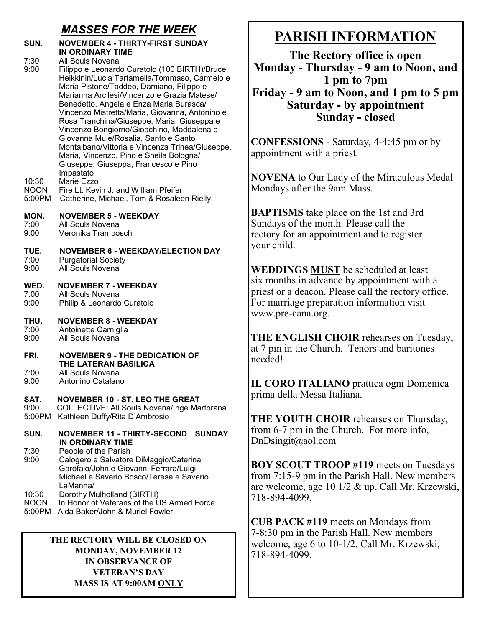## *MASSES FOR THE WEEK*

#### **SUN. NOVEMBER 4 - THIRTY-FIRST SUNDAY IN ORDINARY TIME**

7:30 All Souls Novena<br>9:00 Filippo e Leonard 9:00 Filippo e Leonardo Curatolo (100 BIRTH)/Bruce Heikkinin/Lucia Tartamella/Tommaso, Carmelo e Maria Pistone/Taddeo, Damiano, Filippo e Marianna Arcilesi/Vincenzo e Grazia Matese/ Benedetto, Angela e Enza Maria Burasca/ Vincenzo Mistretta/Maria, Giovanna, Antonino e Rosa Tranchina/Giuseppe, Maria, Giuseppa e Vincenzo Bongiorno/Gioachino, Maddalena e Giovanna Mule/Rosalia, Santo e Santo Montalbano/Vittoria e Vincenza Trinea/Giuseppe, Maria, Vincenzo, Pino e Sheila Bologna/ Giuseppe, Giuseppa, Francesco e Pino Impastato

10:30 Marie Ezzo

- NOON Fire Lt. Kevin J. and William Pfeifer
- 5:00PM Catherine, Michael, Tom & Rosaleen Rielly

#### **MON. NOVEMBER 5 - WEEKDAY**

- 7:00 All Souls Novena
- 9:00 Veronika Tramposch

## **TUE. NOVEMBER 6 - WEEKDAY/ELECTION DAY**

- Purgatorial Society
- 9:00 All Souls Novena

#### **WED. NOVEMBER 7 - WEEKDAY** 7:00 All Souls Novena

9:00 Philip & Leonardo Curatolo

#### **THU. NOVEMBER 8 - WEEKDAY**

- 7:00 Antoinette Carniglia<br>9:00 All Souls Novena
- All Souls Novena

#### **FRI. NOVEMBER 9 - THE DEDICATION OF THE LATERAN BASILICA**<br> **7:00** All Souls Novena All Souls Novena

9:00 Antonino Catalano

#### **SAT. NOVEMBER 10 - ST. LEO THE GREAT**

9:00 COLLECTIVE: All Souls Novena/Inge Martorana 5:00PM Kathleen Duffy/Rita D'Ambrosio

#### **SUN. NOVEMBER 11 - THIRTY-SECOND SUNDAY IN ORDINARY TIME**  7:30 People of the Parish 9:00 Calogero e Salvatore DiMaggio/Caterina Garofalo/John e Giovanni Ferrara/Luigi, Michael e Saverio Bosco/Teresa e Saverio

- /LaManna<br>10:30 Dorothy M 10:30 Dorothy Mulholland (BIRTH)<br>NOON In Honor of Veterans of the U
- In Honor of Veterans of the US Armed Force
- 5:00PM Aida Baker/John & Muriel Fowler

#### **THE RECTORY WILL BE CLOSED ON MONDAY, NOVEMBER 12 IN OBSERVANCE OF VETERAN'S DAY MASS IS AT 9:00AM ONLY**

# **PARISH INFORMATION**

**The Rectory office is open Monday - Thursday - 9 am to Noon, and 1 pm to 7pm Friday - 9 am to Noon, and 1 pm to 5 pm Saturday - by appointment Sunday - closed**

**CONFESSIONS** - Saturday, 4-4:45 pm or by appointment with a priest.

**NOVENA** to Our Lady of the Miraculous Medal Mondays after the 9am Mass.

**BAPTISMS** take place on the 1st and 3rd Sundays of the month. Please call the rectory for an appointment and to register your child.

**WEDDINGS MUST** be scheduled at least six months in advance by appointment with a priest or a deacon. Please call the rectory office. For marriage preparation information visit www.pre-cana.org.

**THE ENGLISH CHOIR** rehearses on Tuesday, at 7 pm in the Church. Tenors and baritones needed!

**IL CORO ITALIANO** prattica ogni Domenica prima della Messa Italiana.

**THE YOUTH CHOIR** rehearses on Thursday, from 6-7 pm in the Church. For more info, DnDsingit@aol.com

**BOY SCOUT TROOP #119** meets on Tuesdays from 7:15-9 pm in the Parish Hall. New members are welcome, age 10 1/2 & up. Call Mr. Krzewski, 718-894-4099.

**CUB PACK #119** meets on Mondays from 7-8:30 pm in the Parish Hall. New members welcome, age 6 to 10-1/2. Call Mr. Krzewski, 718-894-4099.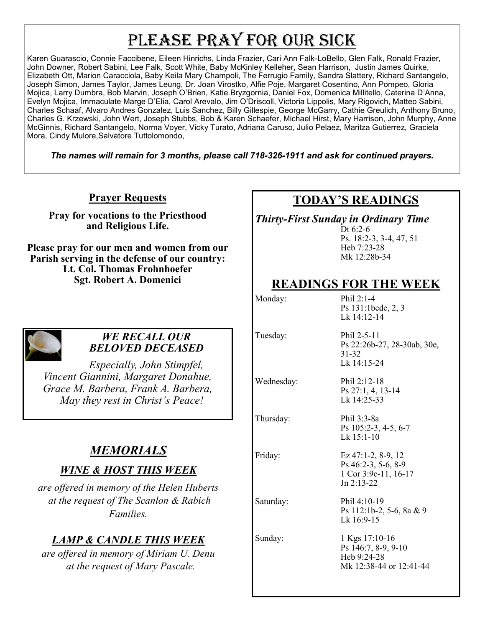# PLEASE PRAY FOR OUR SICK

Karen Guarascio, Connie Faccibene, Eileen Hinrichs, Linda Frazier, Cari Ann Falk-LoBello, Glen Falk, Ronald Frazier, John Downer, Robert Sabini, Lee Falk, Scott White, Baby McKinley Kelleher, Sean Harrison, Justin James Quirke, Elizabeth Ott, Marion Caracciola, Baby Keila Mary Champoli, The Ferrugio Family, Sandra Slattery, Richard Santangelo, Joseph Simon, James Taylor, James Leung, Dr. Joan Virostko, Alfie Poje, Margaret Cosentino, Ann Pompeo, Gloria Mojica, Larry Dumbra, Bob Marvin, Joseph O'Brien, Katie Bryzgornia, Daniel Fox, Domenica Millitello, Caterina D'Anna, Evelyn Mojica, Immaculate Marge D'Elia, Carol Arevalo, Jim O'Driscoll, Victoria Lippolis, Mary Rigovich, Matteo Sabini, Charles Schaaf, Alvaro Andres Gonzalez, Luis Sanchez, Billy Gillespie, George McGarry, Cathie Greulich, Anthony Bruno, Charles G. Krzewski, John Wert, Joseph Stubbs, Bob & Karen Schaefer, Michael Hirst, Mary Harrison, John Murphy, Anne McGinnis, Richard Santangelo, Norma Voyer, Vicky Turato, Adriana Caruso, Julio Pelaez, Maritza Gutierrez, Graciela Mora, Cindy Mulore,Salvatore Tuttolomondo,

*The names will remain for 3 months, please call 718-326-1911 and ask for continued prayers.*

### **Prayer Requests**

**Pray for vocations to the Priesthood and Religious Life.** 

**Please pray for our men and women from our Parish serving in the defense of our country: Lt. Col. Thomas Frohnhoefer Sgt. Robert A. Domenici** 



#### *WE RECALL OUR BELOVED DECEASED*

*Especially, John Stimpfel, Vincent Giannini, Margaret Donahue, Grace M. Barbera, Frank A. Barbera, May they rest in Christ's Peace!*

## *MEMORIALS*

## *WINE & HOST THIS WEEK*

*are offered in memory of the Helen Huberts at the request of The Scanlon & Rabich Families.*

## *LAMP & CANDLE THIS WEEK*

*are offered in memory of Miriam U. Denu at the request of Mary Pascale.*

## **TODAY'S READINGS**

*Thirty-First Sunday in Ordinary Time*

Dt 6:2-6 Ps. 18:2-3, 3-4, 47, 51 Heb 7:23-28 Mk 12:28b-34

## **READINGS FOR THE WEEK**

Monday: Phil 2:1-4 Ps 131:1bcde, 2, 3 Lk 14:12-14

> Ps 27:1, 4, 13-14 Lk 14:25-33

Ps 105:2-3, 4-5, 6-7

Ps 46:2-3, 5-6, 8-9 1 Cor 3:9c-11, 16-17

Lk 15:1-10

Jn 2:13-22

Tuesday: Phil 2-5-11

Ps 22:26b-27, 28-30ab, 30e, 31-32 Lk 14:15-24

Wednesday: Phil 2:12-18

Thursday: Phil 3:3-8a

Friday: Ez 47:1-2, 8-9, 12

Saturday: Phil 4:10-19 Ps 112:1b-2, 5-6, 8a & 9 Lk 16:9-15

Sunday: 1 Kgs 17:10-16 Ps 146:7, 8-9, 9-10 Heb 9:24-28 Mk 12:38-44 or 12:41-44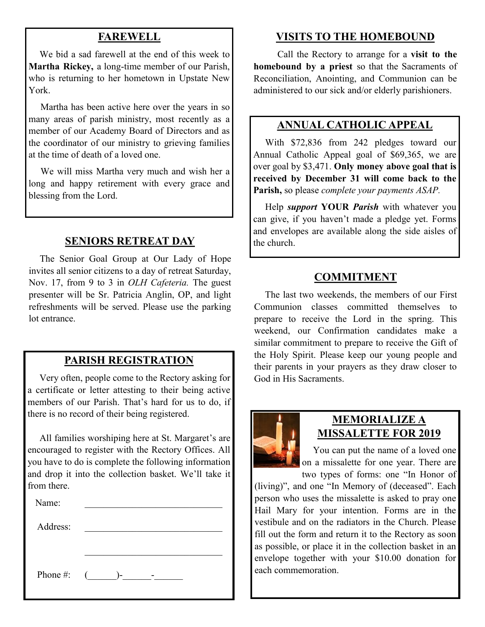### **FAREWELL**

 We bid a sad farewell at the end of this week to **Martha Rickey,** a long-time member of our Parish, who is returning to her hometown in Upstate New York.

 Martha has been active here over the years in so many areas of parish ministry, most recently as a member of our Academy Board of Directors and as the coordinator of our ministry to grieving families at the time of death of a loved one.

 We will miss Martha very much and wish her a long and happy retirement with every grace and blessing from the Lord.

### **SENIORS RETREAT DAY**

 The Senior Goal Group at Our Lady of Hope invites all senior citizens to a day of retreat Saturday, Nov. 17, from 9 to 3 in *OLH Cafeteria.* The guest presenter will be Sr. Patricia Anglin, OP, and light refreshments will be served. Please use the parking lot entrance.

### **PARISH REGISTRATION**

 Very often, people come to the Rectory asking for a certificate or letter attesting to their being active members of our Parish. That's hard for us to do, if there is no record of their being registered.

 All families worshiping here at St. Margaret's are encouraged to register with the Rectory Offices. All you have to do is complete the following information and drop it into the collection basket. We'll take it from there. <sup>\*</sup>

Name: Address: Phone #:  $($   $)$ -  $-$ 

### **VISITS TO THE HOMEBOUND**

 Call the Rectory to arrange for a **visit to the homebound by a priest** so that the Sacraments of Reconciliation, Anointing, and Communion can be administered to our sick and/or elderly parishioners.

### **ANNUAL CATHOLIC APPEAL**

 With \$72,836 from 242 pledges toward our Annual Catholic Appeal goal of \$69,365, we are over goal by \$3,471. **Only money above goal that is received by December 31 will come back to the Parish,** so please *complete your payments ASAP.*

 Help *support* **YOUR** *Parish* with whatever you can give, if you haven't made a pledge yet. Forms and envelopes are available along the side aisles of the church.

#### **COMMITMENT**

 The last two weekends, the members of our First Communion classes committed themselves to prepare to receive the Lord in the spring. This weekend, our Confirmation candidates make a similar commitment to prepare to receive the Gift of the Holy Spirit. Please keep our young people and their parents in your prayers as they draw closer to God in His Sacraments.



#### **MEMORIALIZE A MISSALETTE FOR 2019**

 You can put the name of a loved one on a missalette for one year. There are two types of forms: one "In Honor of

(living)", and one "In Memory of (deceased". Each person who uses the missalette is asked to pray one Hail Mary for your intention. Forms are in the vestibule and on the radiators in the Church. Please fill out the form and return it to the Rectory as soon as possible, or place it in the collection basket in an envelope together with your \$10.00 donation for each commemoration.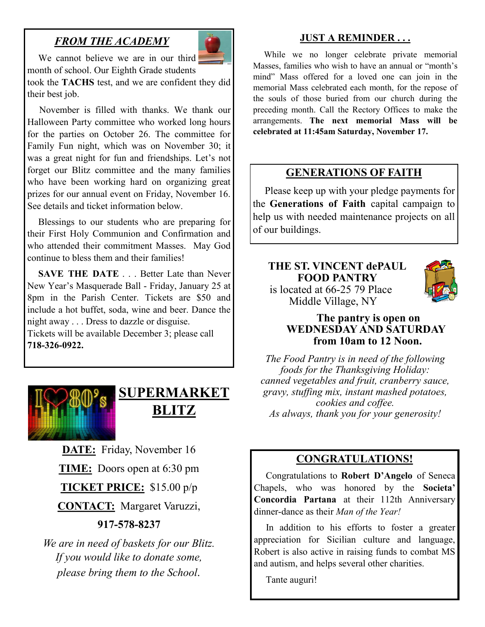## *FROM THE ACADEMY*



We cannot believe we are in our third month of school. Our Eighth Grade students

took the **TACHS** test, and we are confident they did their best job. Ī

 November is filled with thanks. We thank our Halloween Party committee who worked long hours for the parties on October 26. The committee for Family Fun night, which was on November 30; it was a great night for fun and friendships. Let's not forget our Blitz committee and the many families who have been working hard on organizing great prizes for our annual event on Friday, November 16. See details and ticket information below.

 Blessings to our students who are preparing for their First Holy Communion and Confirmation and who attended their commitment Masses. May God continue to bless them and their families!

**SAVE THE DATE** . . . Better Late than Never New Year's Masquerade Ball - Friday, January 25 at 8pm in the Parish Center. Tickets are \$50 and include a hot buffet, soda, wine and beer. Dance the night away . . . Dress to dazzle or disguise.

Tickets will be available December 3; please call **718-326-0922.** 



## **SUPERMARKET BLITZ**

**DATE:** Friday, November 16 **TIME:** Doors open at 6:30 pm **TICKET PRICE:** \$15.00 p/p **CONTACT:** Margaret Varuzzi, **917-578-8237**

*We are in need of baskets for our Blitz. If you would like to donate some, please bring them to the School.*

#### **JUST A REMINDER . . .**

 While we no longer celebrate private memorial Masses, families who wish to have an annual or "month's mind" Mass offered for a loved one can join in the memorial Mass celebrated each month, for the repose of the souls of those buried from our church during the preceding month. Call the Rectory Offices to make the arrangements. **The next memorial Mass will be celebrated at 11:45am Saturday, November 17.**

#### **GENERATIONS OF FAITH**

 Please keep up with your pledge payments for the **Generations of Faith** capital campaign to help us with needed maintenance projects on all of our buildings.

#### **THE ST. VINCENT dePAUL FOOD PANTRY** is located at 66-25 79 Place Middle Village, NY



#### **The pantry is open on WEDNESDAY AND SATURDAY from 10am to 12 Noon.**

*The Food Pantry is in need of the following foods for the Thanksgiving Holiday: canned vegetables and fruit, cranberry sauce, gravy, stuffing mix, instant mashed potatoes, cookies and coffee. As always, thank you for your generosity!*

#### **CONGRATULATIONS!**

 Congratulations to **Robert D'Angelo** of Seneca Chapels, who was honored by the **Societa' Concordia Partana** at their 112th Anniversary dinner-dance as their *Man of the Year!*

 In addition to his efforts to foster a greater appreciation for Sicilian culture and language, Robert is also active in raising funds to combat MS and autism, and helps several other charities.

Tante auguri!